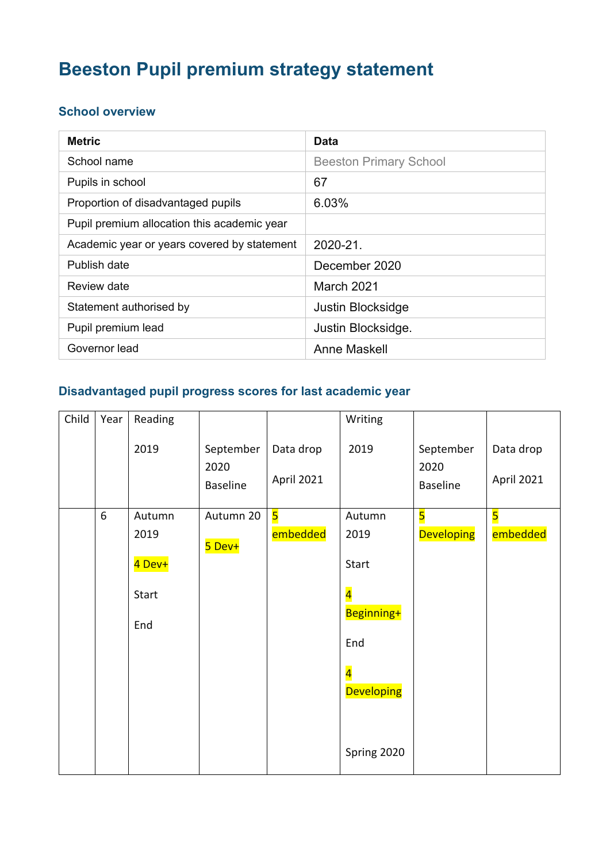# **Beeston Pupil premium strategy statement**

#### **School overview**

| <b>Metric</b>                               | Data                          |
|---------------------------------------------|-------------------------------|
| School name                                 | <b>Beeston Primary School</b> |
| Pupils in school                            | 67                            |
| Proportion of disadvantaged pupils          | 6.03%                         |
| Pupil premium allocation this academic year |                               |
| Academic year or years covered by statement | 2020-21.                      |
| Publish date                                | December 2020                 |
| Review date                                 | March 2021                    |
| Statement authorised by                     | Justin Blocksidge             |
| Pupil premium lead                          | Justin Blocksidge.            |
| Governor lead                               | Anne Maskell                  |

#### **Disadvantaged pupil progress scores for last academic year**

| Child | Year | Reading |                                      |                         | Writing                 |                                      |                         |
|-------|------|---------|--------------------------------------|-------------------------|-------------------------|--------------------------------------|-------------------------|
|       |      | 2019    | September<br>2020<br><b>Baseline</b> | Data drop<br>April 2021 | 2019                    | September<br>2020<br><b>Baseline</b> | Data drop<br>April 2021 |
|       | 6    | Autumn  | Autumn 20                            | $\overline{\mathbf{5}}$ | Autumn                  | $\overline{\mathbf{5}}$              | $\overline{\mathbf{5}}$ |
|       |      | 2019    | 5 Dev+                               | embedded                | 2019                    | <b>Developing</b>                    | embedded                |
|       |      | 4 Dev+  |                                      |                         | Start                   |                                      |                         |
|       |      | Start   |                                      |                         | $\overline{\mathbf{4}}$ |                                      |                         |
|       |      | End     |                                      |                         | Beginning+              |                                      |                         |
|       |      |         |                                      |                         | End                     |                                      |                         |
|       |      |         |                                      |                         | $\overline{\mathbf{4}}$ |                                      |                         |
|       |      |         |                                      |                         | <b>Developing</b>       |                                      |                         |
|       |      |         |                                      |                         |                         |                                      |                         |
|       |      |         |                                      |                         | Spring 2020             |                                      |                         |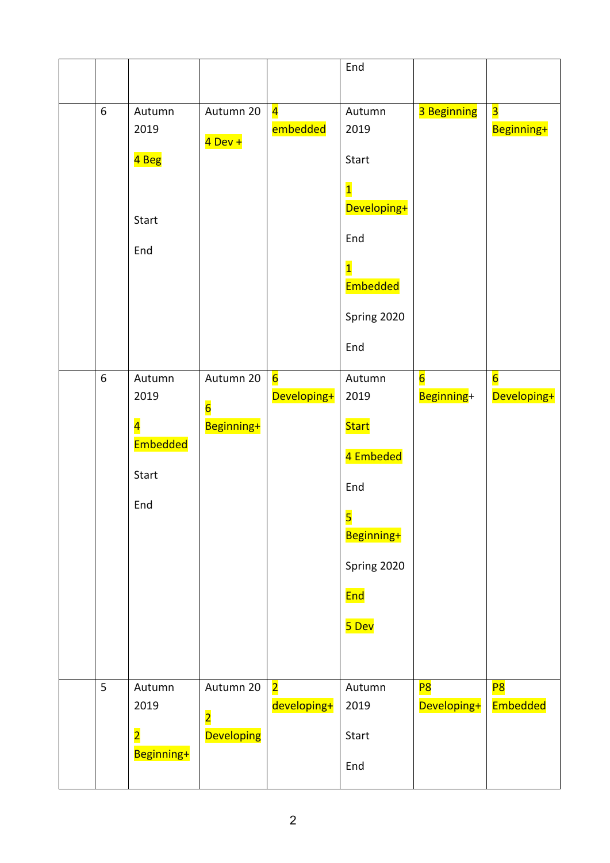|       |                                                                       |                                                           |                                        | End                                                                                                                                   |                               |                                       |
|-------|-----------------------------------------------------------------------|-----------------------------------------------------------|----------------------------------------|---------------------------------------------------------------------------------------------------------------------------------------|-------------------------------|---------------------------------------|
| $6\,$ | Autumn<br>2019<br>4 Beg<br>Start<br>End                               | Autumn 20<br>4 Dev +                                      | $\overline{\mathbf{4}}$<br>embedded    | Autumn<br>2019<br>Start<br>$\overline{\mathbf{1}}$<br>Developing+<br>End<br>$\overline{\mathbf{1}}$<br>Embedded<br>Spring 2020<br>End | 3 Beginning                   | $\overline{\mathbf{3}}$<br>Beginning+ |
| 6     | Autumn<br>2019<br>$\overline{\mathbf{4}}$<br>Embedded<br>Start<br>End | Autumn 20<br>$\overline{6}$<br>Beginning+                 | $6\overline{6}$<br>Developing+         | Autumn<br>2019<br><b>Start</b><br>4 Embeded<br>End<br>$\overline{\mathbf{5}}$<br>Beginning+<br>Spring 2020<br>End<br>5 Dev            | $6\overline{6}$<br>Beginning+ | $6\overline{6}$<br>Developing+        |
| 5     | Autumn<br>2019<br>$\overline{\mathbf{2}}$<br>Beginning+               | Autumn 20<br>$\overline{\mathbf{2}}$<br><b>Developing</b> | $\overline{\mathbf{2}}$<br>developing+ | Autumn<br>2019<br>Start<br>End                                                                                                        | P <sub>8</sub><br>Developing+ | P8<br>Embedded                        |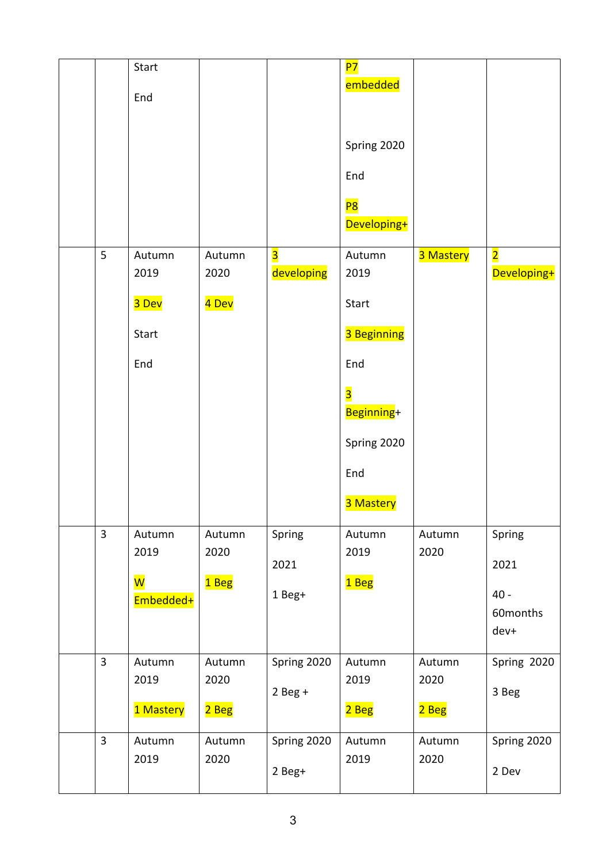|                                  | Start<br>End                                  |                         |                                       | <b>P7</b><br>embedded<br>Spring 2020<br>End<br>P8<br>Developing+                                                                 |                         |                                              |
|----------------------------------|-----------------------------------------------|-------------------------|---------------------------------------|----------------------------------------------------------------------------------------------------------------------------------|-------------------------|----------------------------------------------|
| 5                                | Autumn<br>2019<br>3 Dev<br>Start<br>End       | Autumn<br>2020<br>4 Dev | $\overline{\mathbf{3}}$<br>developing | Autumn<br>2019<br>Start<br>3 Beginning<br>End<br>$\overline{\mathbf{3}}$<br>Beginning+<br>Spring 2020<br>End<br><b>3 Mastery</b> | 3 Mastery               | $\overline{\mathbf{2}}$<br>Developing+       |
| $\overline{3}$                   | Autumn<br>2019<br><mark>W</mark><br>Embedded+ | Autumn<br>2020<br>1 Beg | Spring<br>2021<br>1 Beg+              | Autumn<br>2019<br>1 Beg                                                                                                          | Autumn<br>2020          | Spring<br>2021<br>$40 -$<br>60months<br>dev+ |
| $\overline{3}$<br>$\overline{3}$ | Autumn<br>2019<br>1 Mastery                   | Autumn<br>2020<br>2 Beg | Spring 2020<br>$2$ Beg +              | Autumn<br>2019<br>2 Beg                                                                                                          | Autumn<br>2020<br>2 Beg | Spring 2020<br>3 Beg                         |
|                                  | Autumn<br>2019                                | Autumn<br>2020          | Spring 2020<br>2 Beg+                 | Autumn<br>2019                                                                                                                   | Autumn<br>2020          | Spring 2020<br>2 Dev                         |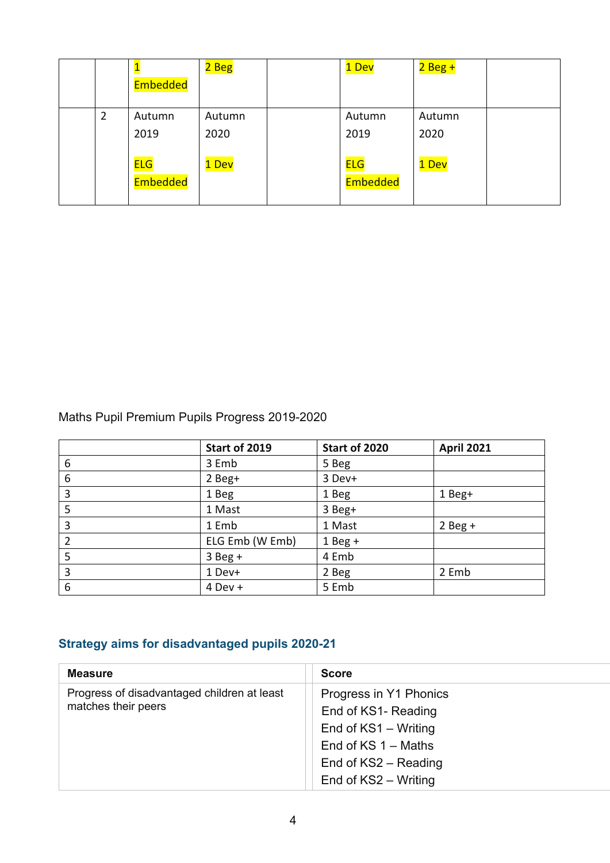|   | Embedded               | 2 Beg          | 1 Dev                  | $2$ Beg +      |  |
|---|------------------------|----------------|------------------------|----------------|--|
| 2 | Autumn<br>2019         | Autumn<br>2020 | Autumn<br>2019         | Autumn<br>2020 |  |
|   | <b>ELG</b><br>Embedded | 1 Dev          | <b>ELG</b><br>Embedded | 1 Dev          |  |

Maths Pupil Premium Pupils Progress 2019-2020

|                | Start of 2019   | Start of 2020 | <b>April 2021</b> |
|----------------|-----------------|---------------|-------------------|
| 6              | 3 Emb           | 5 Beg         |                   |
| 6              | 2 Beg+          | 3 Dev+        |                   |
| 3              | 1 Beg           | 1 Beg         | 1 Beg+            |
| 5              | 1 Mast          | 3 Beg+        |                   |
| 3              | 1 Emb           | 1 Mast        | $2$ Beg +         |
| $\overline{2}$ | ELG Emb (W Emb) | $1$ Beg +     |                   |
| 5              | $3$ Beg +       | 4 Emb         |                   |
| 3              | 1 Dev+          | 2 Beg         | 2 Emb             |
| 6              | $4$ Dev +       | 5 Emb         |                   |

## **Strategy aims for disadvantaged pupils 2020-21**

| <b>Measure</b>                                                     | <b>Score</b>                                                                                                                                   |
|--------------------------------------------------------------------|------------------------------------------------------------------------------------------------------------------------------------------------|
| Progress of disadvantaged children at least<br>matches their peers | Progress in Y1 Phonics<br>End of KS1- Reading<br>End of KS1 - Writing<br>End of $KS$ 1 – Maths<br>End of KS2 - Reading<br>End of KS2 - Writing |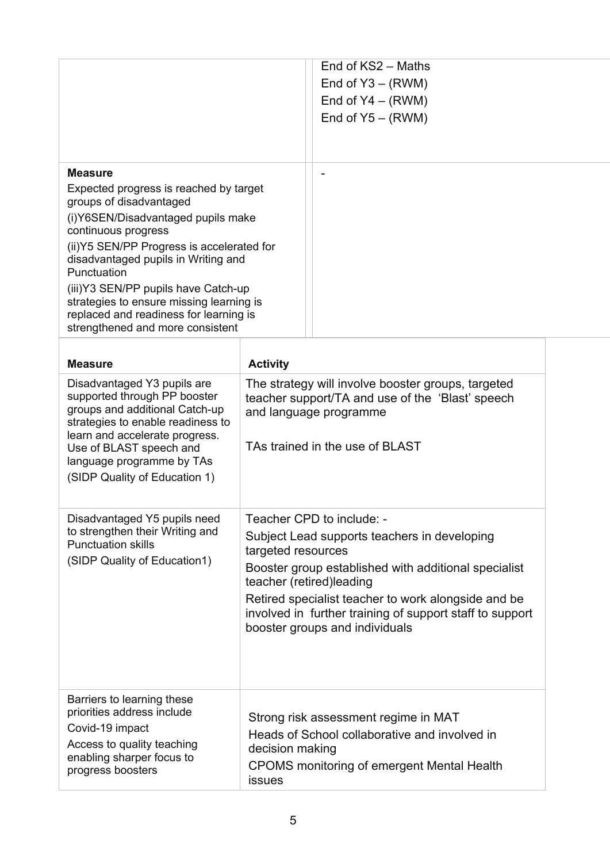|                                                                                                                                                                                                                                                                                                                                                                                                                       |                           | End of KS2 - Maths<br>End of $Y3 - (RWM)$<br>End of $Y4 - (RWM)$<br>End of $Y5 - (RWM)$                                                                                                                                                                                                                             |
|-----------------------------------------------------------------------------------------------------------------------------------------------------------------------------------------------------------------------------------------------------------------------------------------------------------------------------------------------------------------------------------------------------------------------|---------------------------|---------------------------------------------------------------------------------------------------------------------------------------------------------------------------------------------------------------------------------------------------------------------------------------------------------------------|
| <b>Measure</b><br>Expected progress is reached by target<br>groups of disadvantaged<br>(i) Y6SEN/Disadvantaged pupils make<br>continuous progress<br>(ii)Y5 SEN/PP Progress is accelerated for<br>disadvantaged pupils in Writing and<br>Punctuation<br>(iii)Y3 SEN/PP pupils have Catch-up<br>strategies to ensure missing learning is<br>replaced and readiness for learning is<br>strengthened and more consistent |                           |                                                                                                                                                                                                                                                                                                                     |
| <b>Measure</b>                                                                                                                                                                                                                                                                                                                                                                                                        | <b>Activity</b>           |                                                                                                                                                                                                                                                                                                                     |
| Disadvantaged Y3 pupils are<br>supported through PP booster<br>groups and additional Catch-up<br>strategies to enable readiness to<br>learn and accelerate progress.<br>Use of BLAST speech and<br>language programme by TAs<br>(SIDP Quality of Education 1)                                                                                                                                                         |                           | The strategy will involve booster groups, targeted<br>teacher support/TA and use of the 'Blast' speech<br>and language programme<br>TAs trained in the use of BLAST                                                                                                                                                 |
| Disadvantaged Y5 pupils need<br>to strengthen their Writing and<br><b>Punctuation skills</b><br>(SIDP Quality of Education1)                                                                                                                                                                                                                                                                                          | targeted resources        | Teacher CPD to include: -<br>Subject Lead supports teachers in developing<br>Booster group established with additional specialist<br>teacher (retired) leading<br>Retired specialist teacher to work alongside and be<br>involved in further training of support staff to support<br>booster groups and individuals |
| Barriers to learning these<br>priorities address include<br>Covid-19 impact<br>Access to quality teaching<br>enabling sharper focus to<br>progress boosters                                                                                                                                                                                                                                                           | decision making<br>issues | Strong risk assessment regime in MAT<br>Heads of School collaborative and involved in<br><b>CPOMS</b> monitoring of emergent Mental Health                                                                                                                                                                          |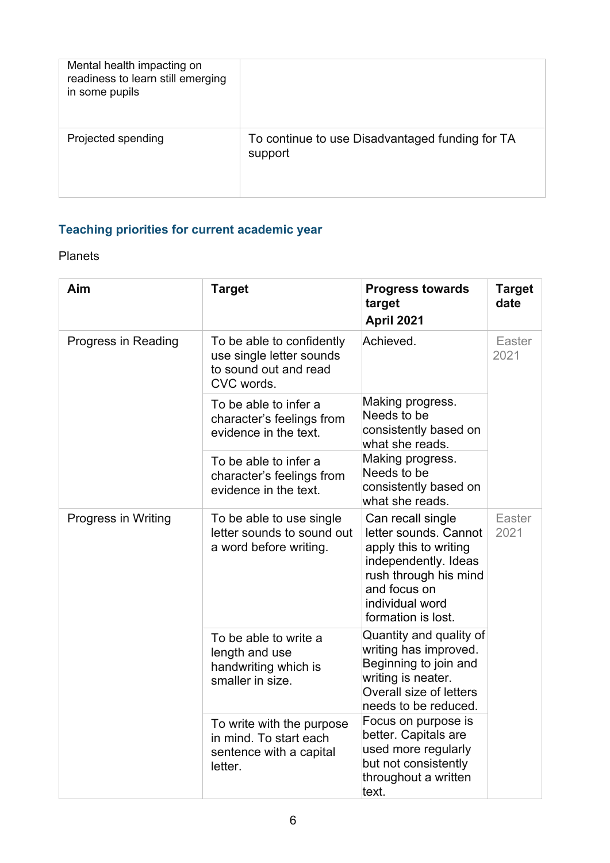| Mental health impacting on<br>readiness to learn still emerging<br>in some pupils |                                                            |
|-----------------------------------------------------------------------------------|------------------------------------------------------------|
| Projected spending                                                                | To continue to use Disadvantaged funding for TA<br>support |

## **Teaching priorities for current academic year**

#### Planets

| Aim                 | <b>Target</b>                                                                                | <b>Progress towards</b><br>target<br>April 2021                                                                                                                               | <b>Target</b><br>date |
|---------------------|----------------------------------------------------------------------------------------------|-------------------------------------------------------------------------------------------------------------------------------------------------------------------------------|-----------------------|
| Progress in Reading | To be able to confidently<br>use single letter sounds<br>to sound out and read<br>CVC words. | Achieved.                                                                                                                                                                     | Easter<br>2021        |
|                     | To be able to infer a<br>character's feelings from<br>evidence in the text.                  | Making progress.<br>Needs to be<br>consistently based on<br>what she reads.                                                                                                   |                       |
|                     | To be able to infer a<br>character's feelings from<br>evidence in the text.                  | Making progress.<br>Needs to be<br>consistently based on<br>what she reads.                                                                                                   |                       |
| Progress in Writing | To be able to use single<br>letter sounds to sound out<br>a word before writing.             | Can recall single<br>letter sounds. Cannot<br>apply this to writing<br>independently. Ideas<br>rush through his mind<br>and focus on<br>individual word<br>formation is lost. | Easter<br>2021        |
|                     | To be able to write a<br>length and use<br>handwriting which is<br>smaller in size.          | Quantity and quality of<br>writing has improved.<br>Beginning to join and<br>writing is neater.<br>Overall size of letters<br>needs to be reduced.                            |                       |
|                     | To write with the purpose<br>in mind. To start each<br>sentence with a capital<br>letter.    | Focus on purpose is<br>better. Capitals are<br>used more regularly<br>but not consistently<br>throughout a written<br>text.                                                   |                       |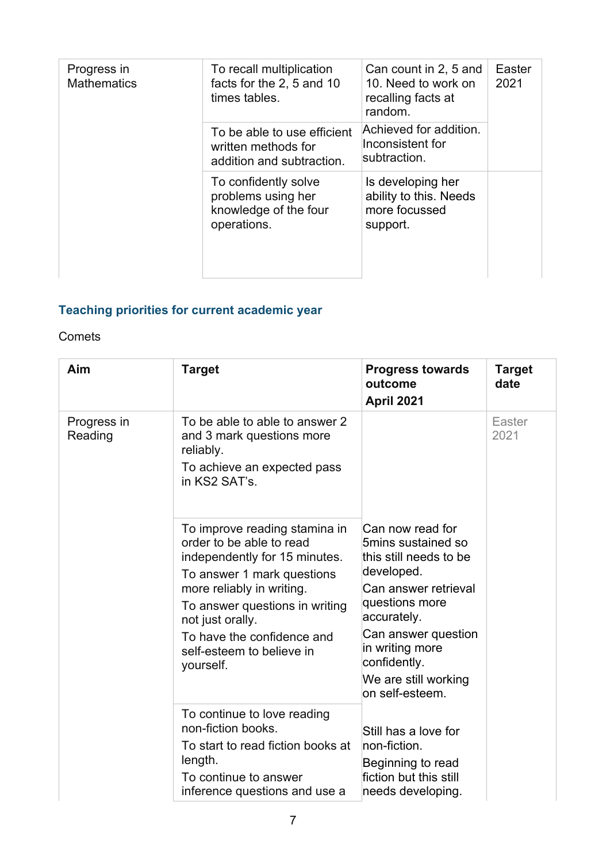| Progress in<br><b>Mathematics</b> | To recall multiplication<br>facts for the 2, 5 and 10<br>times tables.             | Can count in 2, 5 and<br>10. Need to work on<br>recalling facts at<br>random. | Easter<br>2021 |
|-----------------------------------|------------------------------------------------------------------------------------|-------------------------------------------------------------------------------|----------------|
|                                   | To be able to use efficient<br>written methods for<br>addition and subtraction.    | Achieved for addition.<br>Inconsistent for<br>subtraction.                    |                |
|                                   | To confidently solve<br>problems using her<br>knowledge of the four<br>operations. | Is developing her<br>ability to this. Needs<br>more focussed<br>support.      |                |

## **Teaching priorities for current academic year**

#### Comets

| Aim                    | <b>Target</b>                                                                                                                                                                                                                                                                       | <b>Progress towards</b><br>outcome<br>April 2021                                                                                                                                                                                             | <b>Target</b><br>date |
|------------------------|-------------------------------------------------------------------------------------------------------------------------------------------------------------------------------------------------------------------------------------------------------------------------------------|----------------------------------------------------------------------------------------------------------------------------------------------------------------------------------------------------------------------------------------------|-----------------------|
| Progress in<br>Reading | To be able to able to answer 2<br>and 3 mark questions more<br>reliably.<br>To achieve an expected pass<br>in KS2 SAT's.                                                                                                                                                            |                                                                                                                                                                                                                                              | Easter<br>2021        |
|                        | To improve reading stamina in<br>order to be able to read<br>independently for 15 minutes.<br>To answer 1 mark questions<br>more reliably in writing.<br>To answer questions in writing<br>not just orally.<br>To have the confidence and<br>self-esteem to believe in<br>yourself. | Can now read for<br>5mins sustained so<br>this still needs to be<br>developed.<br>Can answer retrieval<br>questions more<br>accurately.<br>Can answer question<br>in writing more<br>confidently.<br>We are still working<br>on self-esteem. |                       |
|                        | To continue to love reading<br>non-fiction books.<br>To start to read fiction books at<br>length.<br>To continue to answer<br>inference questions and use a                                                                                                                         | Still has a love for<br>non-fiction.<br>Beginning to read<br>fiction but this still<br>needs developing.                                                                                                                                     |                       |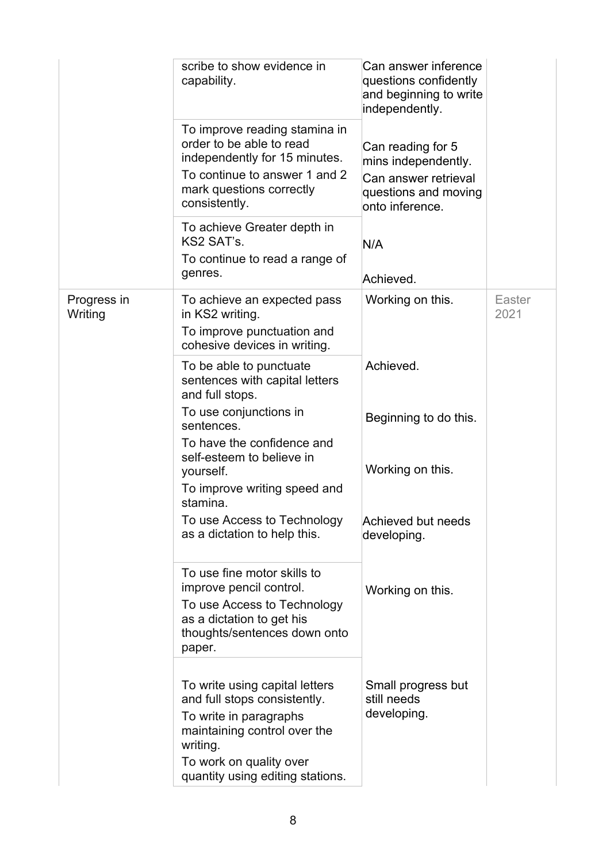|                        | scribe to show evidence in<br>capability.<br>To improve reading stamina in<br>order to be able to read<br>independently for 15 minutes.<br>To continue to answer 1 and 2<br>mark questions correctly<br>consistently.<br>To achieve Greater depth in<br>KS2 SAT's.<br>To continue to read a range of<br>genres. | Can answer inference<br>questions confidently<br>and beginning to write<br>independently.<br>Can reading for 5<br>mins independently.<br>Can answer retrieval<br>questions and moving<br>onto inference.<br>N/A<br>Achieved. |                |
|------------------------|-----------------------------------------------------------------------------------------------------------------------------------------------------------------------------------------------------------------------------------------------------------------------------------------------------------------|------------------------------------------------------------------------------------------------------------------------------------------------------------------------------------------------------------------------------|----------------|
| Progress in<br>Writing | To achieve an expected pass<br>in KS2 writing.<br>To improve punctuation and<br>cohesive devices in writing.                                                                                                                                                                                                    | Working on this.                                                                                                                                                                                                             | Easter<br>2021 |
|                        | To be able to punctuate<br>sentences with capital letters<br>and full stops.                                                                                                                                                                                                                                    | Achieved.                                                                                                                                                                                                                    |                |
|                        | To use conjunctions in<br>sentences.<br>To have the confidence and<br>self-esteem to believe in                                                                                                                                                                                                                 | Beginning to do this.                                                                                                                                                                                                        |                |
|                        | yourself.<br>To improve writing speed and<br>stamina.                                                                                                                                                                                                                                                           | Working on this.                                                                                                                                                                                                             |                |
|                        | To use Access to Technology<br>as a dictation to help this.                                                                                                                                                                                                                                                     | Achieved but needs<br>developing.                                                                                                                                                                                            |                |
|                        | To use fine motor skills to<br>improve pencil control.<br>To use Access to Technology<br>as a dictation to get his<br>thoughts/sentences down onto<br>paper.                                                                                                                                                    | Working on this.                                                                                                                                                                                                             |                |
|                        | To write using capital letters<br>and full stops consistently.<br>To write in paragraphs<br>maintaining control over the<br>writing.<br>To work on quality over                                                                                                                                                 | Small progress but<br>still needs<br>developing.                                                                                                                                                                             |                |
|                        | quantity using editing stations.                                                                                                                                                                                                                                                                                |                                                                                                                                                                                                                              |                |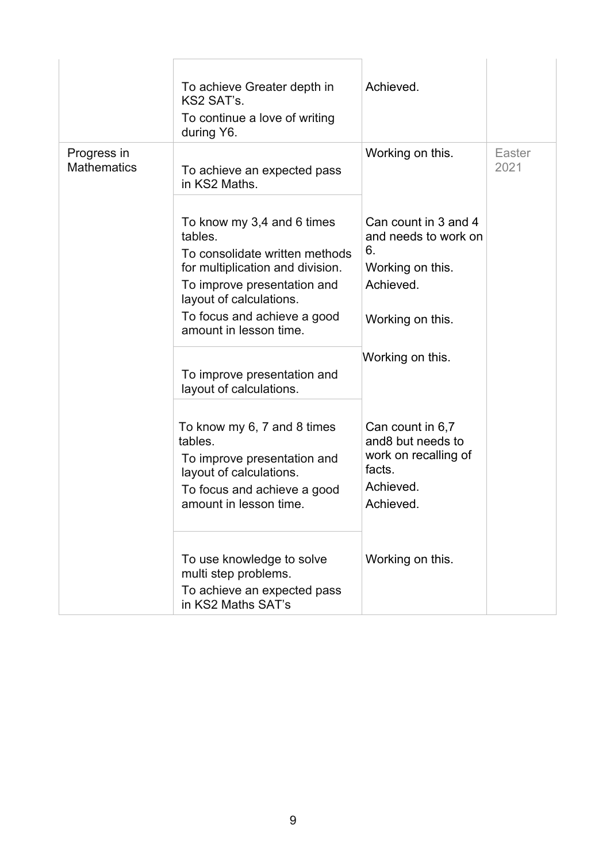| Progress in<br><b>Mathematics</b> | To achieve Greater depth in<br>KS2 SAT's.<br>To continue a love of writing<br>during Y6.<br>To achieve an expected pass<br>in KS2 Maths.                                                                                       | Achieved.<br>Working on this.                                                                           | Easter<br>2021 |
|-----------------------------------|--------------------------------------------------------------------------------------------------------------------------------------------------------------------------------------------------------------------------------|---------------------------------------------------------------------------------------------------------|----------------|
|                                   | To know my 3,4 and 6 times<br>tables.<br>To consolidate written methods<br>for multiplication and division.<br>To improve presentation and<br>layout of calculations.<br>To focus and achieve a good<br>amount in lesson time. | Can count in 3 and 4<br>and needs to work on<br>6.<br>Working on this.<br>Achieved.<br>Working on this. |                |
|                                   | To improve presentation and<br>layout of calculations.                                                                                                                                                                         | Working on this.                                                                                        |                |
|                                   | To know my 6, 7 and 8 times<br>tables.<br>To improve presentation and<br>layout of calculations.<br>To focus and achieve a good<br>amount in lesson time.                                                                      | Can count in 6,7<br>and8 but needs to<br>work on recalling of<br>facts.<br>Achieved.<br>Achieved.       |                |
|                                   | To use knowledge to solve<br>multi step problems.<br>To achieve an expected pass<br>in KS2 Maths SAT's                                                                                                                         | Working on this.                                                                                        |                |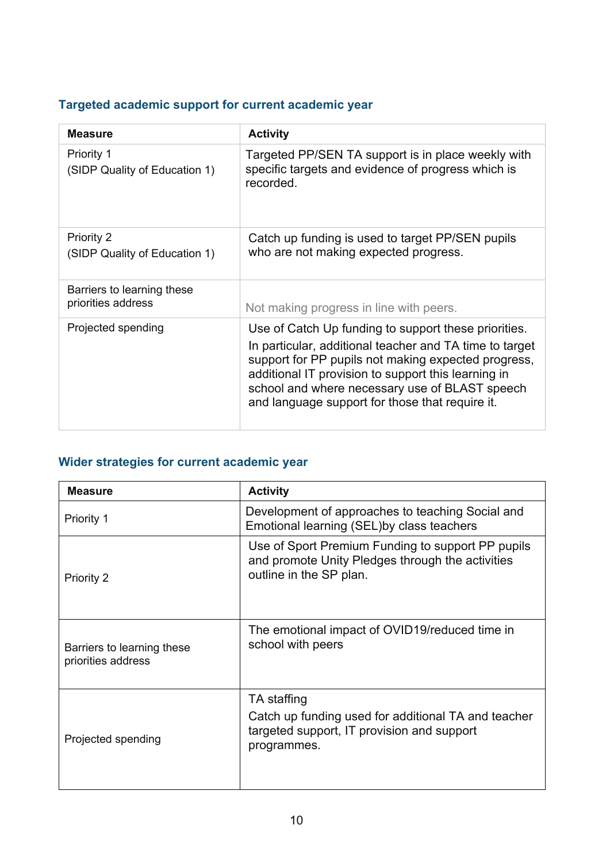## **Targeted academic support for current academic year**

| <b>Measure</b>                                     | <b>Activity</b>                                                                                                                                                                                                                                                                                                                    |
|----------------------------------------------------|------------------------------------------------------------------------------------------------------------------------------------------------------------------------------------------------------------------------------------------------------------------------------------------------------------------------------------|
| <b>Priority 1</b><br>(SIDP Quality of Education 1) | Targeted PP/SEN TA support is in place weekly with<br>specific targets and evidence of progress which is<br>recorded.                                                                                                                                                                                                              |
| Priority 2<br>(SIDP Quality of Education 1)        | Catch up funding is used to target PP/SEN pupils<br>who are not making expected progress.                                                                                                                                                                                                                                          |
| Barriers to learning these<br>priorities address   | Not making progress in line with peers.                                                                                                                                                                                                                                                                                            |
| Projected spending                                 | Use of Catch Up funding to support these priorities.<br>In particular, additional teacher and TA time to target<br>support for PP pupils not making expected progress,<br>additional IT provision to support this learning in<br>school and where necessary use of BLAST speech<br>and language support for those that require it. |

# **Wider strategies for current academic year**

| <b>Measure</b>                                   | <b>Activity</b>                                                                                                                  |
|--------------------------------------------------|----------------------------------------------------------------------------------------------------------------------------------|
| <b>Priority 1</b>                                | Development of approaches to teaching Social and<br>Emotional learning (SEL) by class teachers                                   |
| Priority 2                                       | Use of Sport Premium Funding to support PP pupils<br>and promote Unity Pledges through the activities<br>outline in the SP plan. |
| Barriers to learning these<br>priorities address | The emotional impact of OVID19/reduced time in<br>school with peers                                                              |
| Projected spending                               | TA staffing<br>Catch up funding used for additional TA and teacher<br>targeted support, IT provision and support<br>programmes.  |